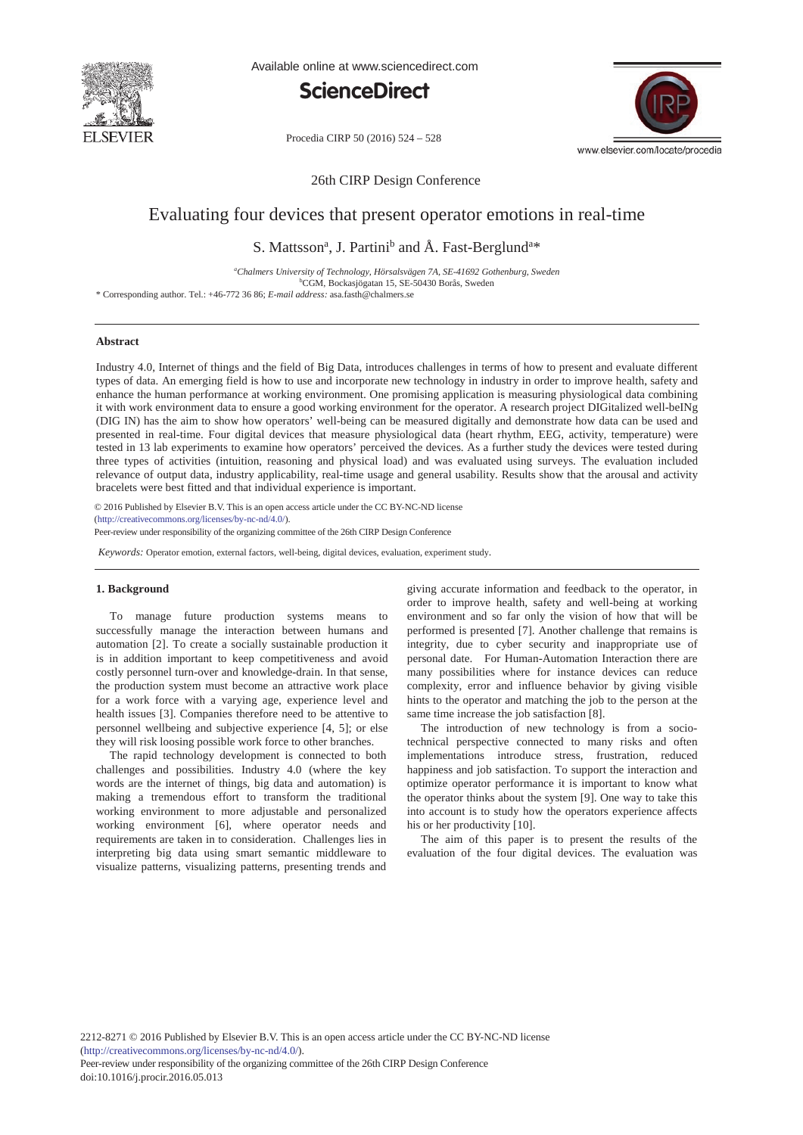

Available online at www.sciencedirect.com





Procedia CIRP 50 (2016) 524 - 528

26th CIRP Design Conference

# Evaluating four devices that present operator emotions in real-time

# S. Mattsson<sup>a</sup>, J. Partini<sup>b</sup> and Å. Fast-Berglund<sup>a\*</sup>

*a Chalmers University of Technology, Hörsalsvägen 7A, SE-41692 Gothenburg, Sweden* b CGM, Bockasjögatan 15, SE-50430 Borås, Sweden

\* Corresponding author. Tel.: +46-772 36 86; *E-mail address:* asa.fasth@chalmers.se

# **Abstract**

Industry 4.0, Internet of things and the field of Big Data, introduces challenges in terms of how to present and evaluate different types of data. An emerging field is how to use and incorporate new technology in industry in order to improve health, safety and enhance the human performance at working environment. One promising application is measuring physiological data combining it with work environment data to ensure a good working environment for the operator. A research project DIGitalized well-beINg (DIG IN) has the aim to show how operators' well-being can be measured digitally and demonstrate how data can be used and presented in real-time. Four digital devices that measure physiological data (heart rhythm, EEG, activity, temperature) were tested in 13 lab experiments to examine how operators' perceived the devices. As a further study the devices were tested during three types of activities (intuition, reasoning and physical load) and was evaluated using surveys. The evaluation included relevance of output data, industry applicability, real-time usage and general usability. Results show that the arousal and activity bracelets were best fitted and that individual experience is important.

© 2016 The Authors. Published by Elsevier B.V. (http://creativecommons.org/licenses/by-nc-nd/4.0/). Selection and peer-review under responsibility of Professor Lihui Wang. Peer-review under responsibility of the organizing committee of the 26th CIRP Design Conference© 2016 Published by Elsevier B.V. This is an open access article under the CC BY-NC-ND license

*Keywords:* Operator emotion, external factors, well-being, digital devices, evaluation, experiment study.

# **1. Background**

To manage future production systems means to successfully manage the interaction between humans and automation [2]. To create a socially sustainable production it is in addition important to keep competitiveness and avoid costly personnel turn-over and knowledge-drain. In that sense, the production system must become an attractive work place for a work force with a varying age, experience level and health issues [3]. Companies therefore need to be attentive to personnel wellbeing and subjective experience [4, 5]; or else they will risk loosing possible work force to other branches.

The rapid technology development is connected to both challenges and possibilities. Industry 4.0 (where the key words are the internet of things, big data and automation) is making a tremendous effort to transform the traditional working environment to more adjustable and personalized working environment [6], where operator needs and requirements are taken in to consideration. Challenges lies in interpreting big data using smart semantic middleware to visualize patterns, visualizing patterns, presenting trends and

giving accurate information and feedback to the operator, in order to improve health, safety and well-being at working environment and so far only the vision of how that will be performed is presented [7]. Another challenge that remains is integrity, due to cyber security and inappropriate use of personal date. For Human-Automation Interaction there are many possibilities where for instance devices can reduce complexity, error and influence behavior by giving visible hints to the operator and matching the job to the person at the same time increase the job satisfaction [8].

The introduction of new technology is from a sociotechnical perspective connected to many risks and often implementations introduce stress, frustration, reduced happiness and job satisfaction. To support the interaction and optimize operator performance it is important to know what the operator thinks about the system [9]. One way to take this into account is to study how the operators experience affects his or her productivity [10].

The aim of this paper is to present the results of the evaluation of the four digital devices. The evaluation was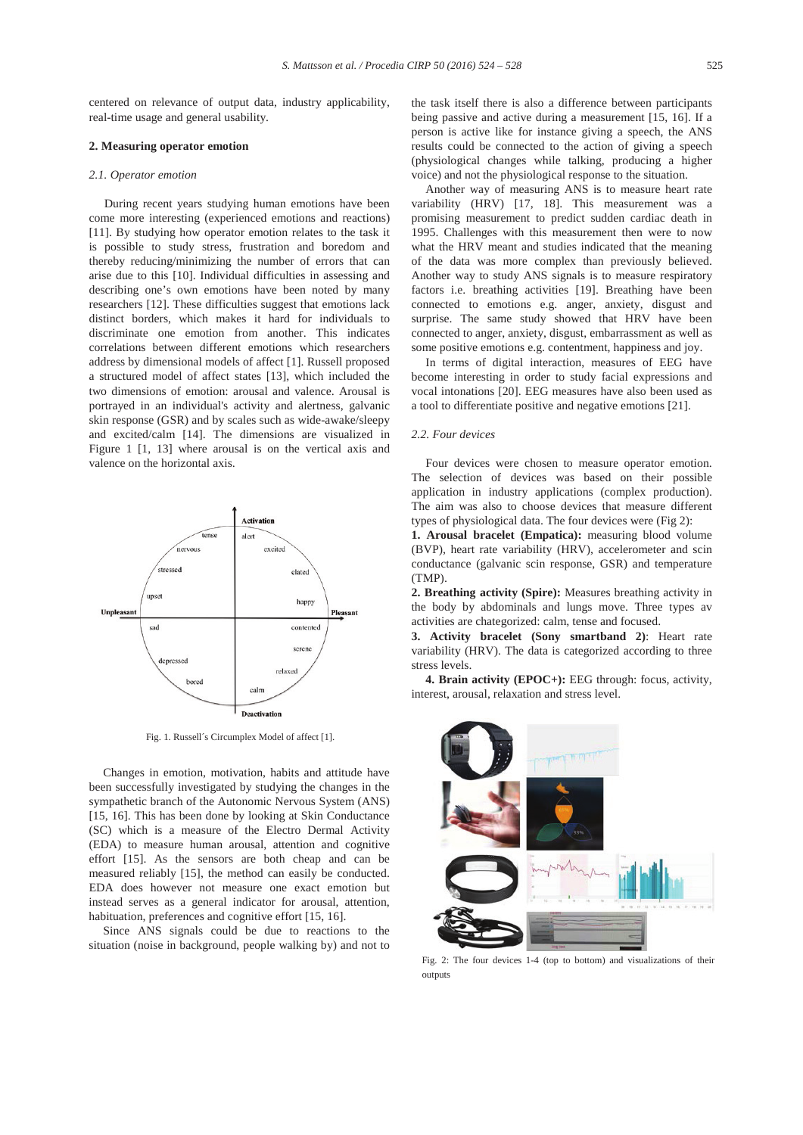centered on relevance of output data, industry applicability, real-time usage and general usability.

#### **2. Measuring operator emotion**

#### *2.1. Operator emotion*

During recent years studying human emotions have been come more interesting (experienced emotions and reactions) [11]. By studying how operator emotion relates to the task it is possible to study stress, frustration and boredom and thereby reducing/minimizing the number of errors that can arise due to this [10]. Individual difficulties in assessing and describing one's own emotions have been noted by many researchers [12]. These difficulties suggest that emotions lack distinct borders, which makes it hard for individuals to discriminate one emotion from another. This indicates correlations between different emotions which researchers address by dimensional models of affect [1]. Russell proposed a structured model of affect states [13], which included the two dimensions of emotion: arousal and valence. Arousal is portrayed in an individual's activity and alertness, galvanic skin response (GSR) and by scales such as wide-awake/sleepy and excited/calm [14]. The dimensions are visualized in Figure 1 [1, 13] where arousal is on the vertical axis and valence on the horizontal axis.



Fig. 1. Russell´s Circumplex Model of affect [1].

Changes in emotion, motivation, habits and attitude have been successfully investigated by studying the changes in the sympathetic branch of the Autonomic Nervous System (ANS) [15, 16]. This has been done by looking at Skin Conductance (SC) which is a measure of the Electro Dermal Activity (EDA) to measure human arousal, attention and cognitive effort [15]. As the sensors are both cheap and can be measured reliably [15], the method can easily be conducted. EDA does however not measure one exact emotion but instead serves as a general indicator for arousal, attention, habituation, preferences and cognitive effort [15, 16].

Since ANS signals could be due to reactions to the situation (noise in background, people walking by) and not to

the task itself there is also a difference between participants being passive and active during a measurement [15, 16]. If a person is active like for instance giving a speech, the ANS results could be connected to the action of giving a speech (physiological changes while talking, producing a higher voice) and not the physiological response to the situation.

Another way of measuring ANS is to measure heart rate variability (HRV) [17, 18]. This measurement was a promising measurement to predict sudden cardiac death in 1995. Challenges with this measurement then were to now what the HRV meant and studies indicated that the meaning of the data was more complex than previously believed. Another way to study ANS signals is to measure respiratory factors i.e. breathing activities [19]. Breathing have been connected to emotions e.g. anger, anxiety, disgust and surprise. The same study showed that HRV have been connected to anger, anxiety, disgust, embarrassment as well as some positive emotions e.g. contentment, happiness and joy.

In terms of digital interaction, measures of EEG have become interesting in order to study facial expressions and vocal intonations [20]. EEG measures have also been used as a tool to differentiate positive and negative emotions [21].

# *2.2. Four devices*

Four devices were chosen to measure operator emotion. The selection of devices was based on their possible application in industry applications (complex production). The aim was also to choose devices that measure different types of physiological data. The four devices were (Fig 2):

**1. Arousal bracelet (Empatica):** measuring blood volume (BVP), heart rate variability (HRV), accelerometer and scin conductance (galvanic scin response, GSR) and temperature (TMP).

**2. Breathing activity (Spire):** Measures breathing activity in the body by abdominals and lungs move. Three types av activities are chategorized: calm, tense and focused.

**3. Activity bracelet (Sony smartband 2)**: Heart rate variability (HRV). The data is categorized according to three stress levels.

**4. Brain activity (EPOC+):** EEG through: focus, activity, interest, arousal, relaxation and stress level.



Fig. 2: The four devices 1-4 (top to bottom) and visualizations of their outputs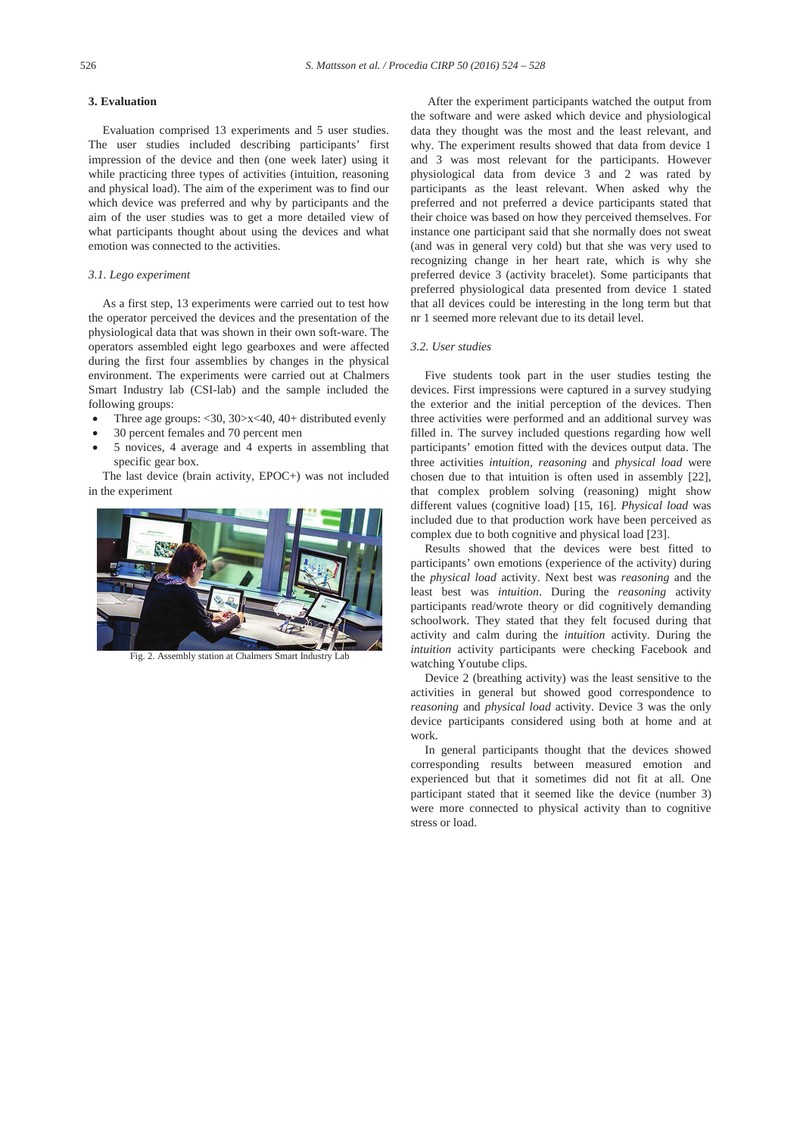# **3. Evaluation**

Evaluation comprised 13 experiments and 5 user studies. The user studies included describing participants' first impression of the device and then (one week later) using it while practicing three types of activities (intuition, reasoning and physical load). The aim of the experiment was to find our which device was preferred and why by participants and the aim of the user studies was to get a more detailed view of what participants thought about using the devices and what emotion was connected to the activities.

# *3.1. Lego experiment*

As a first step, 13 experiments were carried out to test how the operator perceived the devices and the presentation of the physiological data that was shown in their own soft-ware. The operators assembled eight lego gearboxes and were affected during the first four assemblies by changes in the physical environment. The experiments were carried out at Chalmers Smart Industry lab (CSI-lab) and the sample included the following groups:

- Three age groups:  $\langle 30, 30 \rangle x \langle 40, 40 +$  distributed evenly
- 30 percent females and 70 percent men
- 5 novices, 4 average and 4 experts in assembling that specific gear box.

The last device (brain activity, EPOC+) was not included in the experiment



Fig. 2. Assembly station at Chalmers Smart Industry Lab

After the experiment participants watched the output from the software and were asked which device and physiological data they thought was the most and the least relevant, and why. The experiment results showed that data from device 1 and 3 was most relevant for the participants. However physiological data from device 3 and 2 was rated by participants as the least relevant. When asked why the preferred and not preferred a device participants stated that their choice was based on how they perceived themselves. For instance one participant said that she normally does not sweat (and was in general very cold) but that she was very used to recognizing change in her heart rate, which is why she preferred device 3 (activity bracelet). Some participants that preferred physiological data presented from device 1 stated that all devices could be interesting in the long term but that nr 1 seemed more relevant due to its detail level.

#### *3.2. User studies*

Five students took part in the user studies testing the devices. First impressions were captured in a survey studying the exterior and the initial perception of the devices. Then three activities were performed and an additional survey was filled in. The survey included questions regarding how well participants' emotion fitted with the devices output data. The three activities *intuition, reasoning* and *physical load* were chosen due to that intuition is often used in assembly [22], that complex problem solving (reasoning) might show different values (cognitive load) [15, 16]. *Physical load* was included due to that production work have been perceived as complex due to both cognitive and physical load [23].

Results showed that the devices were best fitted to participants' own emotions (experience of the activity) during the *physical load* activity. Next best was *reasoning* and the least best was *intuition*. During the *reasoning* activity participants read/wrote theory or did cognitively demanding schoolwork. They stated that they felt focused during that activity and calm during the *intuition* activity. During the *intuition* activity participants were checking Facebook and watching Youtube clips.

Device 2 (breathing activity) was the least sensitive to the activities in general but showed good correspondence to *reasoning* and *physical load* activity. Device 3 was the only device participants considered using both at home and at work.

In general participants thought that the devices showed corresponding results between measured emotion and experienced but that it sometimes did not fit at all. One participant stated that it seemed like the device (number 3) were more connected to physical activity than to cognitive stress or load.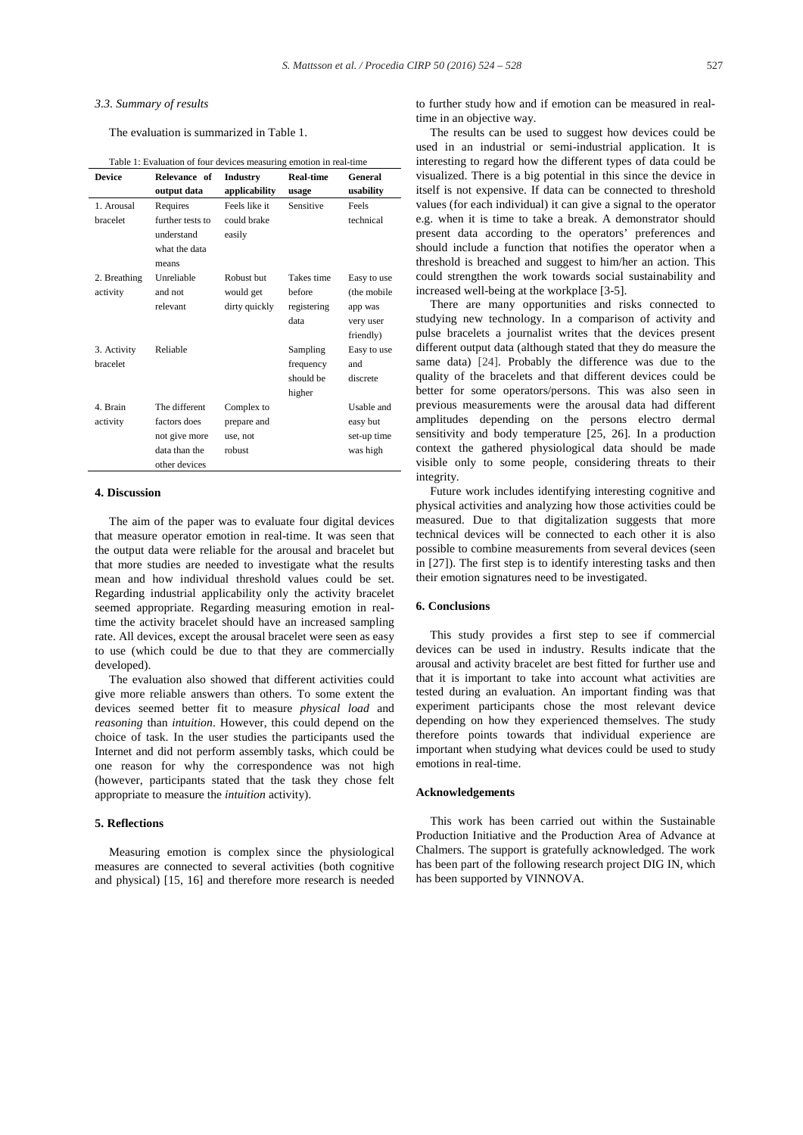#### *3.3. Summary of results*

The evaluation is summarized in Table 1.

| <b>Device</b> | Table 1: Evaluation of four devices measuring emotion in real-time<br>Relevance of | <b>Industry</b> | <b>Real-time</b> | General     |
|---------------|------------------------------------------------------------------------------------|-----------------|------------------|-------------|
|               |                                                                                    |                 |                  |             |
|               | output data                                                                        | applicability   | usage            | usability   |
| 1. Arousal    | Requires                                                                           | Feels like it   | Sensitive        | Feels       |
| bracelet      | further tests to                                                                   | could brake     |                  | technical   |
|               | understand                                                                         | easily          |                  |             |
|               | what the data                                                                      |                 |                  |             |
|               | means                                                                              |                 |                  |             |
| 2. Breathing  | Unreliable                                                                         | Robust but      | Takes time       | Easy to use |
| activity      | and not                                                                            | would get       | before           | (the mobile |
|               | relevant                                                                           | dirty quickly   | registering      | app was     |
|               |                                                                                    |                 | data             | very user   |
|               |                                                                                    |                 |                  | friendly)   |
| 3. Activity   | Reliable                                                                           |                 | Sampling         | Easy to use |
| bracelet      |                                                                                    |                 | frequency        | and         |
|               |                                                                                    |                 | should be        | discrete    |
|               |                                                                                    |                 | higher           |             |
| 4. Brain      | The different                                                                      | Complex to      |                  | Usable and  |
| activity      | factors does                                                                       | prepare and     |                  | easy but    |
|               | not give more                                                                      | use, not        |                  | set-up time |
|               | data than the                                                                      | robust          |                  | was high    |
|               | other devices                                                                      |                 |                  |             |

# Table 1: Evaluation of four devices measuring emotion in real-time

# **4. Discussion**

The aim of the paper was to evaluate four digital devices that measure operator emotion in real-time. It was seen that the output data were reliable for the arousal and bracelet but that more studies are needed to investigate what the results mean and how individual threshold values could be set. Regarding industrial applicability only the activity bracelet seemed appropriate. Regarding measuring emotion in realtime the activity bracelet should have an increased sampling rate. All devices, except the arousal bracelet were seen as easy to use (which could be due to that they are commercially developed).

The evaluation also showed that different activities could give more reliable answers than others. To some extent the devices seemed better fit to measure *physical load* and *reasoning* than *intuition*. However, this could depend on the choice of task. In the user studies the participants used the Internet and did not perform assembly tasks, which could be one reason for why the correspondence was not high (however, participants stated that the task they chose felt appropriate to measure the *intuition* activity).

#### **5. Reflections**

Measuring emotion is complex since the physiological measures are connected to several activities (both cognitive and physical) [15, 16] and therefore more research is needed to further study how and if emotion can be measured in realtime in an objective way.

The results can be used to suggest how devices could be used in an industrial or semi-industrial application. It is interesting to regard how the different types of data could be visualized. There is a big potential in this since the device in itself is not expensive. If data can be connected to threshold values (for each individual) it can give a signal to the operator e.g. when it is time to take a break. A demonstrator should present data according to the operators' preferences and should include a function that notifies the operator when a threshold is breached and suggest to him/her an action. This could strengthen the work towards social sustainability and increased well-being at the workplace [3-5].

There are many opportunities and risks connected to studying new technology. In a comparison of activity and pulse bracelets a journalist writes that the devices present different output data (although stated that they do measure the same data) [24]. Probably the difference was due to the quality of the bracelets and that different devices could be better for some operators/persons. This was also seen in previous measurements were the arousal data had different amplitudes depending on the persons electro dermal sensitivity and body temperature [25, 26]. In a production context the gathered physiological data should be made visible only to some people, considering threats to their integrity.

Future work includes identifying interesting cognitive and physical activities and analyzing how those activities could be measured. Due to that digitalization suggests that more technical devices will be connected to each other it is also possible to combine measurements from several devices (seen in [27]). The first step is to identify interesting tasks and then their emotion signatures need to be investigated.

## **6. Conclusions**

This study provides a first step to see if commercial devices can be used in industry. Results indicate that the arousal and activity bracelet are best fitted for further use and that it is important to take into account what activities are tested during an evaluation. An important finding was that experiment participants chose the most relevant device depending on how they experienced themselves. The study therefore points towards that individual experience are important when studying what devices could be used to study emotions in real-time.

# **Acknowledgements**

This work has been carried out within the Sustainable Production Initiative and the Production Area of Advance at Chalmers. The support is gratefully acknowledged. The work has been part of the following research project DIG IN, which has been supported by VINNOVA.